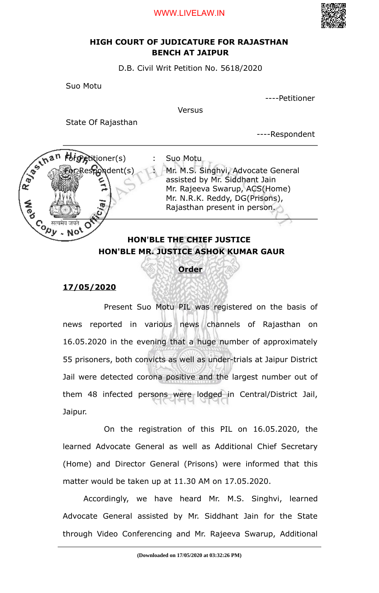#### WWW.LIVELAW.IN



## **HIGH COURT OF JUDICATURE FOR RAJASTHAN BENCH AT JAIPUR**

D.B. Civil Writ Petition No. 5618/2020

Suo Motu

----Petitioner

Versus

State Of Rajasthan

----Respondent



### **Order**

### **17/05/2020**

Present Suo Motu PIL was registered on the basis of news reported in various news channels of Rajasthan on 16.05.2020 in the evening that a huge number of approximately 55 prisoners, both convicts as well as under-trials at Jaipur District Jail were detected corona positive and the largest number out of them 48 infected persons were lodged in Central/District Jail, Jaipur.

On the registration of this PIL on 16.05.2020, the learned Advocate General as well as Additional Chief Secretary (Home) and Director General (Prisons) were informed that this matter would be taken up at 11.30 AM on 17.05.2020.

Accordingly, we have heard Mr. M.S. Singhvi, learned Advocate General assisted by Mr. Siddhant Jain for the State through Video Conferencing and Mr. Rajeeva Swarup, Additional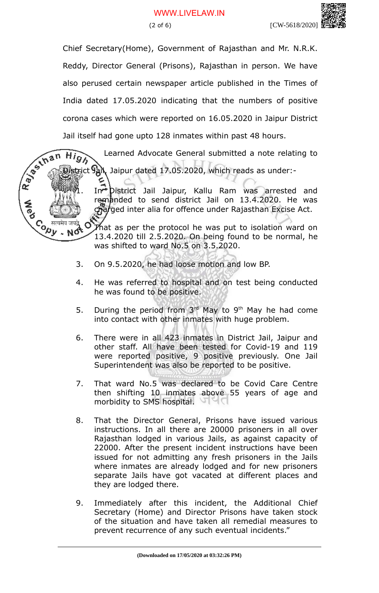$\widehat{High}$ 

Chief Secretary(Home), Government of Rajasthan and Mr. N.R.K. Reddy, Director General (Prisons), Rajasthan in person. We have also perused certain newspaper article published in the Times of India dated 17.05.2020 indicating that the numbers of positive corona cases which were reported on 16.05.2020 in Jaipur District Jail itself had gone upto 128 inmates within past 48 hours. R. Januar

Learned Advocate General submitted a note relating to

strict  $\Omega$ <sub>k</sub>, Jaipur dated 17.05.2020, which reads as under:-

In<sup>+</sup> District Jail Jaipur, Kallu Ram was arrested and remanded to send district Jail on 13.4.2020. He was charged inter alia for offence under Rajasthan Excise Act.

Co Heatha strain of the protocol he was put to isolation ward on 13.4.2020 till 2.5.2020. On being found to be normal, he was shifted to ward No.5 on 3.5.2020.

- 3. On 9.5.2020, he had loose motion and low BP.
- 4. He was referred to hospital and on test being conducted he was found to be positive.
- 5. During the period from  $3<sup>rd</sup>$  May to 9<sup>th</sup> May he had come into contact with other inmates with huge problem.
- 6. There were in all 423 inmates in District Jail, Jaipur and other staff. All have been tested for Covid-19 and 119 were reported positive, 9 positive previously. One Jail Superintendent was also be reported to be positive.
- 7. That ward No.5 was declared to be Covid Care Centre then shifting 10 inmates above 55 years of age and morbidity to SMS hospital.
- 8. That the Director General, Prisons have issued various instructions. In all there are 20000 prisoners in all over Rajasthan lodged in various Jails, as against capacity of 22000. After the present incident instructions have been issued for not admitting any fresh prisoners in the Jails where inmates are already lodged and for new prisoners separate Jails have got vacated at different places and they are lodged there.
- 9. Immediately after this incident, the Additional Chief Secretary (Home) and Director Prisons have taken stock of the situation and have taken all remedial measures to prevent recurrence of any such eventual incidents."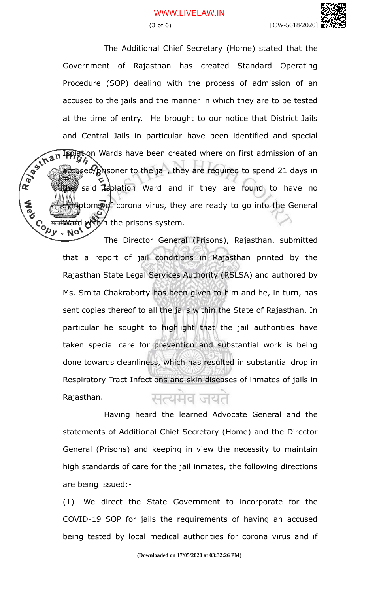# WWW.LIVELAW.IN

(3 of 6) [CW-5618/2020]

The Additional Chief Secretary (Home) stated that the Government of Rajasthan has created Standard Operating Procedure (SOP) dealing with the process of admission of an accused to the jails and the manner in which they are to be tested at the time of entry. He brought to our notice that District Jails and Central Jails in particular have been identified and special<br> $\frac{1}{2}$ <br> $\frac{1}{2}$ <br> $\frac{1}{2}$ <br> $\frac{1}{2}$ <br> $\frac{1}{2}$ <br> $\frac{1}{2}$ <br> $\frac{1}{2}$ <br> $\frac{1}{2}$ <br> $\frac{1}{2}$ <br> $\frac{1}{2}$ <br> $\frac{1}{2}$ <br> $\frac{1}{2}$ <br> $\frac{1}{2}$ <br> $\frac{1}{2}$ Isolation Wards have been created where on first admission of an accused/prisoner to the jail, they are required to spend 21 days in the said **Is**olation Ward and if they are found to have no ptoms of corona virus, they are ready to go into the General  $C_0$  are in Ward within the prisons system.

The Director General (Prisons), Rajasthan, submitted that a report of jail conditions in Rajasthan printed by the Rajasthan State Legal Services Authority (RSLSA) and authored by Ms. Smita Chakraborty has been given to him and he, in turn, has sent copies thereof to all the jails within the State of Rajasthan. In particular he sought to highlight that the jail authorities have taken special care for prevention and substantial work is being done towards cleanliness, which has resulted in substantial drop in Respiratory Tract Infections and skin diseases of inmates of jails in Rajasthan. ਸ਼ਟਪਸ਼ਰ ਯਪੋ

Having heard the learned Advocate General and the statements of Additional Chief Secretary (Home) and the Director General (Prisons) and keeping in view the necessity to maintain high standards of care for the jail inmates, the following directions are being issued:-

(1) We direct the State Government to incorporate for the COVID-19 SOP for jails the requirements of having an accused being tested by local medical authorities for corona virus and if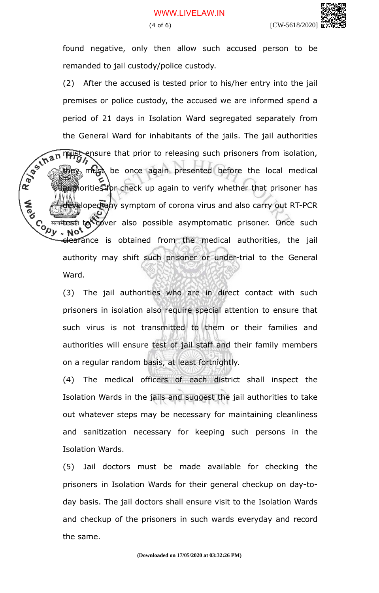found negative, only then allow such accused person to be remanded to jail custody/police custody.

(2) After the accused is tested prior to his/her entry into the jail premises or police custody, the accused we are informed spend a period of 21 days in Isolation Ward segregated separately from the General Ward for inhabitants of the jails. The jail authorities<br>
when the prison of the jails. The jail authorities<br>
when the prison isolation,<br>
when the once again presented before<br>
when the prison isolation, ensure that prior to releasing such prisoners from isolation, must be once again presented before the local medical authorities for check up again to verify whether that prisoner has eloped any symptom of corona virus and also carry out RT-PCR Contributes to cover also possible asymptomatic prisoner. Once such<br>the state the sail **NO** elearance is obtained from the medical authorities, the jail authority may shift such prisoner or under-trial to the General Ward.

> (3) The jail authorities who are in direct contact with such prisoners in isolation also require special attention to ensure that such virus is not transmitted to them or their families and authorities will ensure test of jail staff and their family members on a regular random basis, at least fortnightly.

> (4) The medical officers of each district shall inspect the Isolation Wards in the jails and suggest the jail authorities to take out whatever steps may be necessary for maintaining cleanliness and sanitization necessary for keeping such persons in the Isolation Wards.

> (5) Jail doctors must be made available for checking the prisoners in Isolation Wards for their general checkup on day-today basis. The jail doctors shall ensure visit to the Isolation Wards and checkup of the prisoners in such wards everyday and record the same.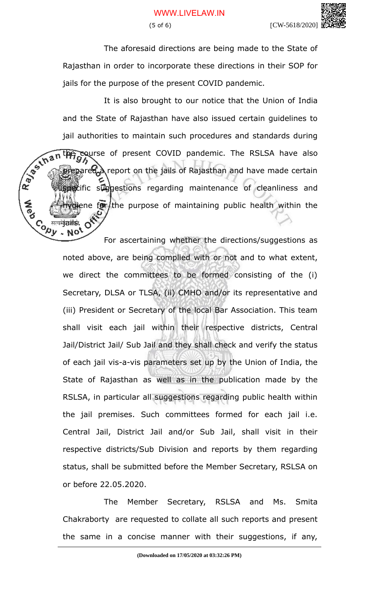The aforesaid directions are being made to the State of Rajasthan in order to incorporate these directions in their SOP for jails for the purpose of the present COVID pandemic.

It is also brought to our notice that the Union of India and the State of Rajasthan have also issued certain guidelines to jail authorities to maintain such procedures and standards during<br>the course of present COVID pandemic. The RSLSA have also<br>a prepared a report on the jails of Rajasthan and the course of present COVID pandemic. The RSLSA have also prepared a report on the jails of Rajasthan and have made certain pecific suggestions regarding maintenance of cleanliness and ene for the purpose of maintaining public health within the Contraction of O

For ascertaining whether the directions/suggestions as noted above, are being complied with or not and to what extent, we direct the committees to be formed consisting of the (i) Secretary, DLSA or TLSA, (ii) CMHO and/or its representative and (iii) President or Secretary of the local Bar Association. This team shall visit each jail within their respective districts, Central Jail/District Jail/ Sub Jail and they shall check and verify the status of each jail vis-a-vis parameters set up by the Union of India, the State of Rajasthan as well as in the publication made by the RSLSA, in particular all suggestions regarding public health within the jail premises. Such committees formed for each jail i.e. Central Jail, District Jail and/or Sub Jail, shall visit in their respective districts/Sub Division and reports by them regarding status, shall be submitted before the Member Secretary, RSLSA on or before 22.05.2020.

The Member Secretary, RSLSA and Ms. Smita Chakraborty are requested to collate all such reports and present the same in a concise manner with their suggestions, if any,